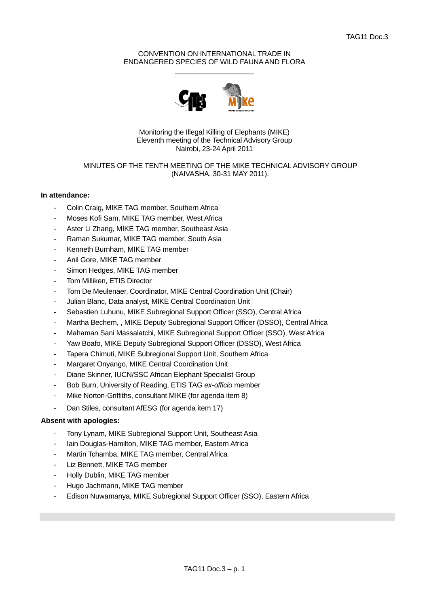# CONVENTION ON INTERNATIONAL TRADE IN ENDANGERED SPECIES OF WILD FAUNA AND FLORA  $\frac{1}{2}$  , and the set of the set of the set of the set of the set of the set of the set of the set of the set of the set of the set of the set of the set of the set of the set of the set of the set of the set of the set



Monitoring the Illegal Killing of Elephants (MIKE) Eleventh meeting of the Technical Advisory Group Nairobi, 23-24 April 2011

# MINUTES OF THE TENTH MEETING OF THE MIKE TECHNICAL ADVISORY GROUP (NAIVASHA, 30-31 MAY 2011).

# **In attendance:**

- Colin Craig, MIKE TAG member, Southern Africa
- Moses Kofi Sam, MIKE TAG member, West Africa
- Aster Li Zhang, MIKE TAG member, Southeast Asia
- Raman Sukumar, MIKE TAG member, South Asia
- Kenneth Burnham, MIKE TAG member
- Anil Gore, MIKE TAG member
- Simon Hedges, MIKE TAG member
- Tom Milliken, ETIS Director
- Tom De Meulenaer, Coordinator, MIKE Central Coordination Unit (Chair)
- Julian Blanc, Data analyst, MIKE Central Coordination Unit
- Sebastien Luhunu, MIKE Subregional Support Officer (SSO), Central Africa
- Martha Bechem, , MIKE Deputy Subregional Support Officer (DSSO), Central Africa
- Mahaman Sani Massalatchi, MIKE Subregional Support Officer (SSO), West Africa
- Yaw Boafo, MIKE Deputy Subregional Support Officer (DSSO), West Africa
- Tapera Chimuti, MIKE Subregional Support Unit, Southern Africa
- Margaret Onyango, MIKE Central Coordination Unit
- Diane Skinner, IUCN/SSC African Elephant Specialist Group
- Bob Burn, University of Reading, ETIS TAG *ex-officio* member
- Mike Norton-Griffiths, consultant MIKE (for agenda item 8)
- Dan Stiles, consultant AfESG (for agenda item 17)

# **Absent with apologies:**

- Tony Lynam, MIKE Subregional Support Unit, Southeast Asia
- Iain Douglas-Hamilton, MIKE TAG member, Eastern Africa
- Martin Tchamba, MIKE TAG member, Central Africa
- Liz Bennett, MIKE TAG member
- Holly Dublin, MIKE TAG member
- Hugo Jachmann, MIKE TAG member
- Edison Nuwamanya, MIKE Subregional Support Officer (SSO), Eastern Africa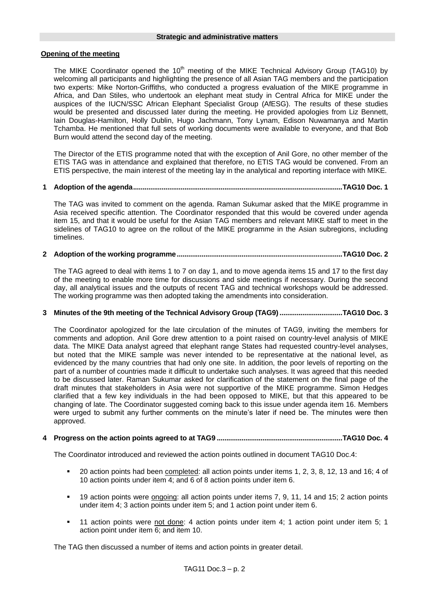# **Opening of the meeting**

The MIKE Coordinator opened the 10<sup>th</sup> meeting of the MIKE Technical Advisory Group (TAG10) by welcoming all participants and highlighting the presence of all Asian TAG members and the participation two experts: Mike Norton-Griffiths, who conducted a progress evaluation of the MIKE programme in Africa, and Dan Stiles, who undertook an elephant meat study in Central Africa for MIKE under the auspices of the IUCN/SSC African Elephant Specialist Group (AfESG). The results of these studies would be presented and discussed later during the meeting. He provided apologies from Liz Bennett, Iain Douglas-Hamilton, Holly Dublin, Hugo Jachmann, Tony Lynam, Edison Nuwamanya and Martin Tchamba. He mentioned that full sets of working documents were available to everyone, and that Bob Burn would attend the second day of the meeting.

The Director of the ETIS programme noted that with the exception of Anil Gore, no other member of the ETIS TAG was in attendance and explained that therefore, no ETIS TAG would be convened. From an ETIS perspective, the main interest of the meeting lay in the analytical and reporting interface with MIKE.

# **1 Adoption of the agenda..............................................................................................................TAG10 Doc. 1**

The TAG was invited to comment on the agenda. Raman Sukumar asked that the MIKE programme in Asia received specific attention. The Coordinator responded that this would be covered under agenda item 15, and that it would be useful for the Asian TAG members and relevant MIKE staff to meet in the sidelines of TAG10 to agree on the rollout of the MIKE programme in the Asian subregions, including timelines.

# **2 Adoption of the working programme.......................................................................................TAG10 Doc. 2**

The TAG agreed to deal with items 1 to 7 on day 1, and to move agenda items 15 and 17 to the first day of the meeting to enable more time for discussions and side meetings if necessary. During the second day, all analytical issues and the outputs of recent TAG and technical workshops would be addressed. The working programme was then adopted taking the amendments into consideration.

# **3 Minutes of the 9th meeting of the Technical Advisory Group (TAG9).................................TAG10 Doc. 3**

The Coordinator apologized for the late circulation of the minutes of TAG9, inviting the members for comments and adoption. Anil Gore drew attention to a point raised on country-level analysis of MIKE data. The MIKE Data analyst agreed that elephant range States had requested country-level analyses, but noted that the MIKE sample was never intended to be representative at the national level, as evidenced by the many countries that had only one site. In addition, the poor levels of reporting on the part of a number of countries made it difficult to undertake such analyses. It was agreed that this needed to be discussed later. Raman Sukumar asked for clarification of the statement on the final page of the draft minutes that stakeholders in Asia were not supportive of the MIKE programme. Simon Hedges clarified that a few key individuals in the had been opposed to MIKE, but that this appeared to be changing of late. The Coordinator suggested coming back to this issue under agenda item 16. Members were urged to submit any further comments on the minute's later if need be. The minutes were then approved.

# **4 Progress on the action points agreed to at TAG9 ..................................................................TAG10 Doc. 4**

The Coordinator introduced and reviewed the action points outlined in document TAG10 Doc.4:

- 20 action points had been completed: all action points under items 1, 2, 3, 8, 12, 13 and 16; 4 of 10 action points under item 4; and 6 of 8 action points under item 6.
- 19 action points were ongoing: all action points under items 7, 9, 11, 14 and 15; 2 action points under item 4; 3 action points under item 5; and 1 action point under item 6.
- 11 action points were not done: 4 action points under item 4; 1 action point under item 5; 1 action point under item 6; and item 10.

The TAG then discussed a number of items and action points in greater detail.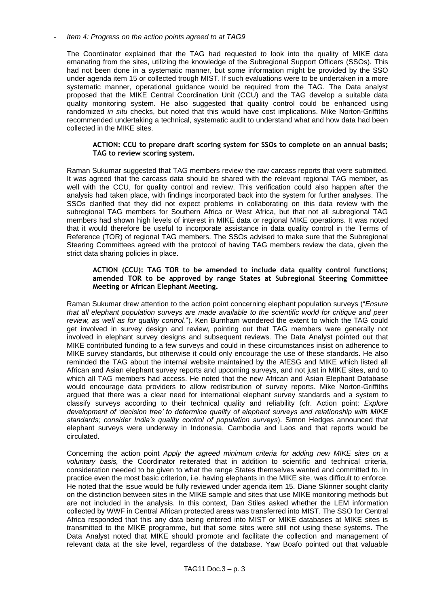*- Item 4: Progress on the action points agreed to at TAG9*

The Coordinator explained that the TAG had requested to look into the quality of MIKE data emanating from the sites, utilizing the knowledge of the Subregional Support Officers (SSOs). This had not been done in a systematic manner, but some information might be provided by the SSO under agenda item 15 or collected trough MIST. If such evaluations were to be undertaken in a more systematic manner, operational guidance would be required from the TAG. The Data analyst proposed that the MIKE Central Coordination Unit (CCU) and the TAG develop a suitable data quality monitoring system. He also suggested that quality control could be enhanced using randomized *in situ* checks, but noted that this would have cost implications. Mike Norton-Griffiths recommended undertaking a technical, systematic audit to understand what and how data had been collected in the MIKE sites.

## **ACTION: CCU to prepare draft scoring system for SSOs to complete on an annual basis; TAG to review scoring system.**

Raman Sukumar suggested that TAG members review the raw carcass reports that were submitted. It was agreed that the carcass data should be shared with the relevant regional TAG member, as well with the CCU, for quality control and review. This verification could also happen after the analysis had taken place, with findings incorporated back into the system for further analyses. The SSOs clarified that they did not expect problems in collaborating on this data review with the subregional TAG members for Southern Africa or West Africa, but that not all subregional TAG members had shown high levels of interest in MIKE data or regional MIKE operations. It was noted that it would therefore be useful to incorporate assistance in data quality control in the Terms of Reference (TOR) of regional TAG members. The SSOs advised to make sure that the Subregional Steering Committees agreed with the protocol of having TAG members review the data, given the strict data sharing policies in place.

## **ACTION (CCU): TAG TOR to be amended to include data quality control functions; amended TOR to be approved by range States at Subregional Steering Committee Meeting or African Elephant Meeting.**

Raman Sukumar drew attention to the action point concerning elephant population surveys ("*Ensure that all elephant population surveys are made available to the scientific world for critique and peer review, as well as for quality control.*"). Ken Burnham wondered the extent to which the TAG could get involved in survey design and review, pointing out that TAG members were generally not involved in elephant survey designs and subsequent reviews. The Data Analyst pointed out that MIKE contributed funding to a few surveys and could in these circumstances insist on adherence to MIKE survey standards, but otherwise it could only encourage the use of these standards. He also reminded the TAG about the internal website maintained by the AfESG and MIKE which listed all African and Asian elephant survey reports and upcoming surveys, and not just in MIKE sites, and to which all TAG members had access. He noted that the new African and Asian Elephant Database would encourage data providers to allow redistribution of survey reports. Mike Norton-Griffiths argued that there was a clear need for international elephant survey standards and a system to classify surveys according to their technical quality and reliability (cfr. Action point: *Explore development of 'decision tree' to determine quality of elephant surveys and relationship with MIKE standards; consider India's quality control of population surveys*). Simon Hedges announced that elephant surveys were underway in Indonesia, Cambodia and Laos and that reports would be circulated.

Concerning the action point *Apply the agreed minimum criteria for adding new MIKE sites on a voluntary basis,* the Coordinator reiterated that in addition to scientific and technical criteria, consideration needed to be given to what the range States themselves wanted and committed to. In practice even the most basic criterion, i.e. having elephants in the MIKE site, was difficult to enforce. He noted that the issue would be fully reviewed under agenda item 15. Diane Skinner sought clarity on the distinction between sites in the MIKE sample and sites that use MIKE monitoring methods but are not included in the analysis. In this context, Dan Stiles asked whether the LEM information collected by WWF in Central African protected areas was transferred into MIST. The SSO for Central Africa responded that this any data being entered into MIST or MIKE databases at MIKE sites is transmitted to the MIKE programme, but that some sites were still not using these systems. The Data Analyst noted that MIKE should promote and facilitate the collection and management of relevant data at the site level, regardless of the database. Yaw Boafo pointed out that valuable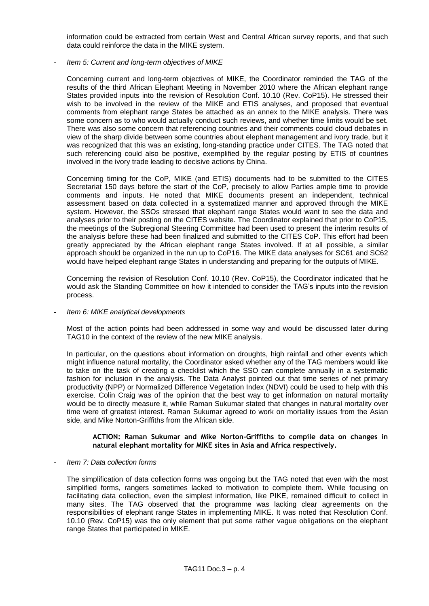information could be extracted from certain West and Central African survey reports, and that such data could reinforce the data in the MIKE system.

*- Item 5: Current and long-term objectives of MIKE*

Concerning current and long-term objectives of MIKE, the Coordinator reminded the TAG of the results of the third African Elephant Meeting in November 2010 where the African elephant range States provided inputs into the revision of Resolution Conf. 10.10 (Rev. CoP15). He stressed their wish to be involved in the review of the MIKE and ETIS analyses, and proposed that eventual comments from elephant range States be attached as an annex to the MIKE analysis. There was some concern as to who would actually conduct such reviews, and whether time limits would be set. There was also some concern that referencing countries and their comments could cloud debates in view of the sharp divide between some countries about elephant management and ivory trade, but it was recognized that this was an existing, long-standing practice under CITES. The TAG noted that such referencing could also be positive, exemplified by the regular posting by ETIS of countries involved in the ivory trade leading to decisive actions by China.

Concerning timing for the CoP, MIKE (and ETIS) documents had to be submitted to the CITES Secretariat 150 days before the start of the CoP, precisely to allow Parties ample time to provide comments and inputs. He noted that MIKE documents present an independent, technical assessment based on data collected in a systematized manner and approved through the MIKE system. However, the SSOs stressed that elephant range States would want to see the data and analyses prior to their posting on the CITES website. The Coordinator explained that prior to CoP15, the meetings of the Subregional Steering Committee had been used to present the interim results of the analysis before these had been finalized and submitted to the CITES CoP. This effort had been greatly appreciated by the African elephant range States involved. If at all possible, a similar approach should be organized in the run up to CoP16. The MIKE data analyses for SC61 and SC62 would have helped elephant range States in understanding and preparing for the outputs of MIKE.

Concerning the revision of Resolution Conf. 10.10 (Rev. CoP15), the Coordinator indicated that he would ask the Standing Committee on how it intended to consider the TAG"s inputs into the revision process.

### *- Item 6: MIKE analytical developments*

Most of the action points had been addressed in some way and would be discussed later during TAG10 in the context of the review of the new MIKE analysis.

In particular, on the questions about information on droughts, high rainfall and other events which might influence natural mortality, the Coordinator asked whether any of the TAG members would like to take on the task of creating a checklist which the SSO can complete annually in a systematic fashion for inclusion in the analysis. The Data Analyst pointed out that time series of net primary productivity (NPP) or Normalized Difference Vegetation Index (NDVI) could be used to help with this exercise. Colin Craig was of the opinion that the best way to get information on natural mortality would be to directly measure it, while Raman Sukumar stated that changes in natural mortality over time were of greatest interest. Raman Sukumar agreed to work on mortality issues from the Asian side, and Mike Norton-Griffiths from the African side.

### **ACTION: Raman Sukumar and Mike Norton-Griffiths to compile data on changes in natural elephant mortality for MIKE sites in Asia and Africa respectively.**

### *- Item 7: Data collection forms*

The simplification of data collection forms was ongoing but the TAG noted that even with the most simplified forms, rangers sometimes lacked to motivation to complete them. While focusing on facilitating data collection, even the simplest information, like PIKE, remained difficult to collect in many sites. The TAG observed that the programme was lacking clear agreements on the responsibilities of elephant range States in implementing MIKE. It was noted that Resolution Conf. 10.10 (Rev. CoP15) was the only element that put some rather vague obligations on the elephant range States that participated in MIKE.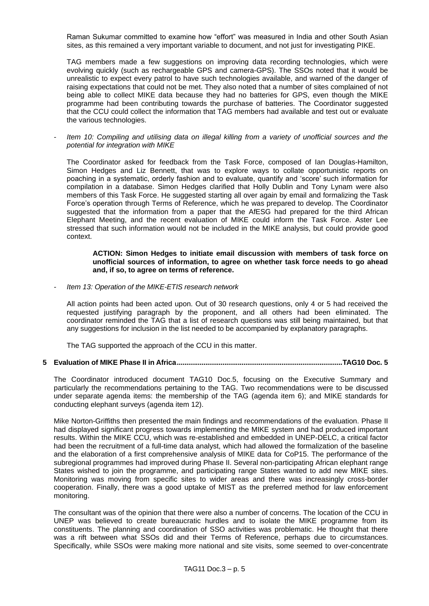Raman Sukumar committed to examine how "effort" was measured in India and other South Asian sites, as this remained a very important variable to document, and not just for investigating PIKE.

TAG members made a few suggestions on improving data recording technologies, which were evolving quickly (such as rechargeable GPS and camera-GPS). The SSOs noted that it would be unrealistic to expect every patrol to have such technologies available, and warned of the danger of raising expectations that could not be met. They also noted that a number of sites complained of not being able to collect MIKE data because they had no batteries for GPS, even though the MIKE programme had been contributing towards the purchase of batteries. The Coordinator suggested that the CCU could collect the information that TAG members had available and test out or evaluate the various technologies.

*- Item 10: Compiling and utilising data on illegal killing from a variety of unofficial sources and the potential for integration with MIKE*

The Coordinator asked for feedback from the Task Force, composed of Ian Douglas-Hamilton, Simon Hedges and Liz Bennett, that was to explore ways to collate opportunistic reports on poaching in a systematic, orderly fashion and to evaluate, quantify and "score" such information for compilation in a database. Simon Hedges clarified that Holly Dublin and Tony Lynam were also members of this Task Force. He suggested starting all over again by email and formalizing the Task Force"s operation through Terms of Reference, which he was prepared to develop. The Coordinator suggested that the information from a paper that the AfESG had prepared for the third African Elephant Meeting, and the recent evaluation of MIKE could inform the Task Force. Aster Lee stressed that such information would not be included in the MIKE analysis, but could provide good context.

#### **ACTION: Simon Hedges to initiate email discussion with members of task force on unofficial sources of information, to agree on whether task force needs to go ahead and, if so, to agree on terms of reference.**

*- Item 13: Operation of the MIKE-ETIS research network*

All action points had been acted upon. Out of 30 research questions, only 4 or 5 had received the requested justifying paragraph by the proponent, and all others had been eliminated. The coordinator reminded the TAG that a list of research questions was still being maintained, but that any suggestions for inclusion in the list needed to be accompanied by explanatory paragraphs.

The TAG supported the approach of the CCU in this matter.

### **5 Evaluation of MIKE Phase II in Africa.......................................................................................TAG10 Doc. 5**

The Coordinator introduced document TAG10 Doc.5, focusing on the Executive Summary and particularly the recommendations pertaining to the TAG. Two recommendations were to be discussed under separate agenda items: the membership of the TAG (agenda item 6); and MIKE standards for conducting elephant surveys (agenda item 12).

Mike Norton-Griffiths then presented the main findings and recommendations of the evaluation. Phase II had displayed significant progress towards implementing the MIKE system and had produced important results. Within the MIKE CCU, which was re-established and embedded in UNEP-DELC, a critical factor had been the recruitment of a full-time data analyst, which had allowed the formalization of the baseline and the elaboration of a first comprehensive analysis of MIKE data for CoP15. The performance of the subregional programmes had improved during Phase II. Several non-participating African elephant range States wished to join the programme, and participating range States wanted to add new MIKE sites. Monitoring was moving from specific sites to wider areas and there was increasingly cross-border cooperation. Finally, there was a good uptake of MIST as the preferred method for law enforcement monitoring.

The consultant was of the opinion that there were also a number of concerns. The location of the CCU in UNEP was believed to create bureaucratic hurdles and to isolate the MIKE programme from its constituents. The planning and coordination of SSO activities was problematic. He thought that there was a rift between what SSOs did and their Terms of Reference, perhaps due to circumstances. Specifically, while SSOs were making more national and site visits, some seemed to over-concentrate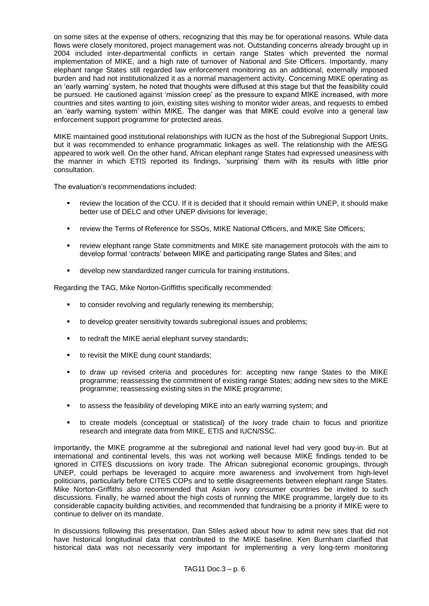on some sites at the expense of others, recognizing that this may be for operational reasons. While data flows were closely monitored, project management was not. Outstanding concerns already brought up in 2004 included inter-departmental conflicts in certain range States which prevented the normal implementation of MIKE, and a high rate of turnover of National and Site Officers. Importantly, many elephant range States still regarded law enforcement monitoring as an additional, externally imposed burden and had not institutionalized it as a normal management activity. Concerning MIKE operating as an "early warning" system, he noted that thoughts were diffused at this stage but that the feasibility could be pursued. He cautioned against "mission creep" as the pressure to expand MIKE increased, with more countries and sites wanting to join, existing sites wishing to monitor wider areas, and requests to embed an "early warning system" within MIKE. The danger was that MIKE could evolve into a general law enforcement support programme for protected areas.

MIKE maintained good institutional relationships with IUCN as the host of the Subregional Support Units, but it was recommended to enhance programmatic linkages as well. The relationship with the AfESG appeared to work well. On the other hand, African elephant range States had expressed uneasiness with the manner in which ETIS reported its findings, "surprising" them with its results with little prior consultation.

The evaluation"s recommendations included:

- review the location of the CCU. If it is decided that it should remain within UNEP, it should make better use of DELC and other UNEP divisions for leverage;
- review the Terms of Reference for SSOs, MIKE National Officers, and MIKE Site Officers;
- review elephant range State commitments and MIKE site management protocols with the aim to develop formal "contracts" between MIKE and participating range States and Sites; and
- develop new standardized ranger curricula for training institutions.

Regarding the TAG, Mike Norton-Griffiths specifically recommended:

- to consider revolving and regularly renewing its membership;
- to develop greater sensitivity towards subregional issues and problems;
- to redraft the MIKE aerial elephant survey standards;
- to revisit the MIKE dung count standards:
- to draw up revised criteria and procedures for: accepting new range States to the MIKE programme; reassessing the commitment of existing range States; adding new sites to the MIKE programme; reassessing existing sites in the MIKE programme;
- to assess the feasibility of developing MIKE into an early warning system; and
- to create models (conceptual or statistical) of the ivory trade chain to focus and prioritize research and integrate data from MIKE, ETIS and IUCN/SSC.

Importantly, the MIKE programme at the subregional and national level had very good buy-in. But at international and continental levels, this was not working well because MIKE findings tended to be ignored in CITES discussions on ivory trade. The African subregional economic groupings, through UNEP, could perhaps be leveraged to acquire more awareness and involvement from high-level politicians, particularly before CITES COPs and to settle disagreements between elephant range States. Mike Norton-Griffiths also recommended that Asian ivory consumer countries be invited to such discussions. Finally, he warned about the high costs of running the MIKE programme, largely due to its considerable capacity building activities, and recommended that fundraising be a priority if MIKE were to continue to deliver on its mandate.

In discussions following this presentation, Dan Stiles asked about how to admit new sites that did not have historical longitudinal data that contributed to the MIKE baseline. Ken Burnham clarified that historical data was not necessarily very important for implementing a very long-term monitoring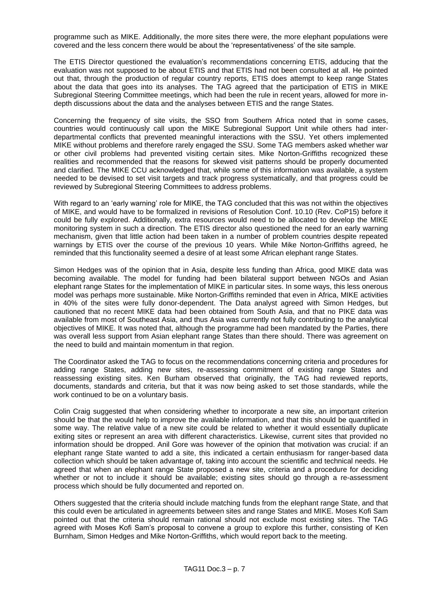programme such as MIKE. Additionally, the more sites there were, the more elephant populations were covered and the less concern there would be about the "representativeness" of the site sample.

The ETIS Director questioned the evaluation"s recommendations concerning ETIS, adducing that the evaluation was not supposed to be about ETIS and that ETIS had not been consulted at all. He pointed out that, through the production of regular country reports, ETIS does attempt to keep range States about the data that goes into its analyses. The TAG agreed that the participation of ETIS in MIKE Subregional Steering Committee meetings, which had been the rule in recent years, allowed for more indepth discussions about the data and the analyses between ETIS and the range States.

Concerning the frequency of site visits, the SSO from Southern Africa noted that in some cases, countries would continuously call upon the MIKE Subregional Support Unit while others had interdepartmental conflicts that prevented meaningful interactions with the SSU. Yet others implemented MIKE without problems and therefore rarely engaged the SSU. Some TAG members asked whether war or other civil problems had prevented visiting certain sites. Mike Norton-Griffiths recognized these realities and recommended that the reasons for skewed visit patterns should be properly documented and clarified. The MIKE CCU acknowledged that, while some of this information was available, a system needed to be devised to set visit targets and track progress systematically, and that progress could be reviewed by Subregional Steering Committees to address problems.

With regard to an 'early warning' role for MIKE, the TAG concluded that this was not within the objectives of MIKE, and would have to be formalized in revisions of Resolution Conf. 10.10 (Rev. CoP15) before it could be fully explored. Additionally, extra resources would need to be allocated to develop the MIKE monitoring system in such a direction. The ETIS director also questioned the need for an early warning mechanism, given that little action had been taken in a number of problem countries despite repeated warnings by ETIS over the course of the previous 10 years. While Mike Norton-Griffiths agreed, he reminded that this functionality seemed a desire of at least some African elephant range States.

Simon Hedges was of the opinion that in Asia, despite less funding than Africa, good MIKE data was becoming available. The model for funding had been bilateral support between NGOs and Asian elephant range States for the implementation of MIKE in particular sites. In some ways, this less onerous model was perhaps more sustainable. Mike Norton-Griffiths reminded that even in Africa, MIKE activities in 40% of the sites were fully donor-dependent. The Data analyst agreed with Simon Hedges, but cautioned that no recent MIKE data had been obtained from South Asia, and that no PIKE data was available from most of Southeast Asia, and thus Asia was currently not fully contributing to the analytical objectives of MIKE. It was noted that, although the programme had been mandated by the Parties, there was overall less support from Asian elephant range States than there should. There was agreement on the need to build and maintain momentum in that region.

The Coordinator asked the TAG to focus on the recommendations concerning criteria and procedures for adding range States, adding new sites, re-assessing commitment of existing range States and reassessing existing sites. Ken Burham observed that originally, the TAG had reviewed reports, documents, standards and criteria, but that it was now being asked to set those standards, while the work continued to be on a voluntary basis.

Colin Craig suggested that when considering whether to incorporate a new site, an important criterion should be that the would help to improve the available information, and that this should be quantified in some way. The relative value of a new site could be related to whether it would essentially duplicate exiting sites or represent an area with different characteristics. Likewise, current sites that provided no information should be dropped. Anil Gore was however of the opinion that motivation was crucial: if an elephant range State wanted to add a site, this indicated a certain enthusiasm for ranger-based data collection which should be taken advantage of, taking into account the scientific and technical needs. He agreed that when an elephant range State proposed a new site, criteria and a procedure for deciding whether or not to include it should be available; existing sites should go through a re-assessment process which should be fully documented and reported on.

Others suggested that the criteria should include matching funds from the elephant range State, and that this could even be articulated in agreements between sites and range States and MIKE. Moses Kofi Sam pointed out that the criteria should remain rational should not exclude most existing sites. The TAG agreed with Moses Kofi Sam"s proposal to convene a group to explore this further, consisting of Ken Burnham, Simon Hedges and Mike Norton-Griffiths, which would report back to the meeting.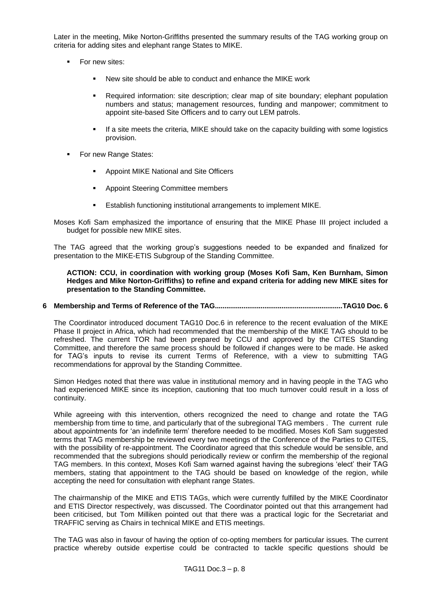Later in the meeting, Mike Norton-Griffiths presented the summary results of the TAG working group on criteria for adding sites and elephant range States to MIKE.

- For new sites:
	- New site should be able to conduct and enhance the MIKE work
	- Required information: site description; clear map of site boundary; elephant population numbers and status; management resources, funding and manpower; commitment to appoint site-based Site Officers and to carry out LEM patrols.
	- If a site meets the criteria, MIKE should take on the capacity building with some logistics provision.
- For new Range States:
	- Appoint MIKE National and Site Officers
	- Appoint Steering Committee members
	- **E** Establish functioning institutional arrangements to implement MIKE.
- Moses Kofi Sam emphasized the importance of ensuring that the MIKE Phase III project included a budget for possible new MIKE sites.

The TAG agreed that the working group's suggestions needed to be expanded and finalized for presentation to the MIKE-ETIS Subgroup of the Standing Committee.

## **ACTION: CCU, in coordination with working group (Moses Kofi Sam, Ken Burnham, Simon Hedges and Mike Norton-Griffiths) to refine and expand criteria for adding new MIKE sites for presentation to the Standing Committee.**

## **6 Membership and Terms of Reference of the TAG...................................................................TAG10 Doc. 6**

The Coordinator introduced document TAG10 Doc.6 in reference to the recent evaluation of the MIKE Phase II project in Africa, which had recommended that the membership of the MIKE TAG should to be refreshed. The current TOR had been prepared by CCU and approved by the CITES Standing Committee, and therefore the same process should be followed if changes were to be made. He asked for TAG's inputs to revise its current Terms of Reference, with a view to submitting TAG recommendations for approval by the Standing Committee.

Simon Hedges noted that there was value in institutional memory and in having people in the TAG who had experienced MIKE since its inception, cautioning that too much turnover could result in a loss of continuity.

While agreeing with this intervention, others recognized the need to change and rotate the TAG membership from time to time, and particularly that of the subregional TAG members . The current rule about appointments for "an indefinite term" therefore needed to be modified. Moses Kofi Sam suggested terms that TAG membership be reviewed every two meetings of the Conference of the Parties to CITES, with the possibility of re-appointment. The Coordinator agreed that this schedule would be sensible, and recommended that the subregions should periodically review or confirm the membership of the regional TAG members. In this context, Moses Kofi Sam warned against having the subregions "elect" their TAG members, stating that appointment to the TAG should be based on knowledge of the region, while accepting the need for consultation with elephant range States.

The chairmanship of the MIKE and ETIS TAGs, which were currently fulfilled by the MIKE Coordinator and ETIS Director respectively, was discussed. The Coordinator pointed out that this arrangement had been criticised, but Tom Milliken pointed out that there was a practical logic for the Secretariat and TRAFFIC serving as Chairs in technical MIKE and ETIS meetings.

The TAG was also in favour of having the option of co-opting members for particular issues. The current practice whereby outside expertise could be contracted to tackle specific questions should be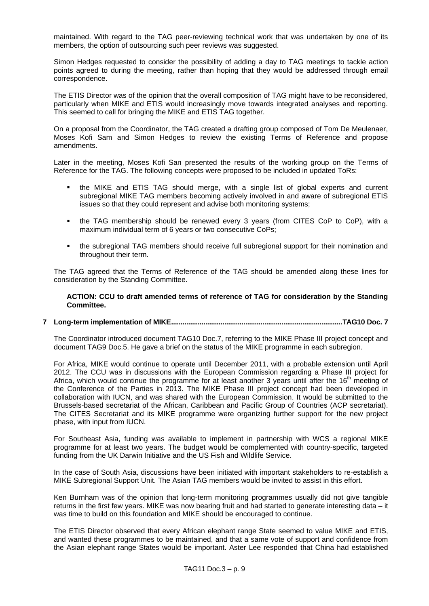maintained. With regard to the TAG peer-reviewing technical work that was undertaken by one of its members, the option of outsourcing such peer reviews was suggested.

Simon Hedges requested to consider the possibility of adding a day to TAG meetings to tackle action points agreed to during the meeting, rather than hoping that they would be addressed through email correspondence.

The ETIS Director was of the opinion that the overall composition of TAG might have to be reconsidered, particularly when MIKE and ETIS would increasingly move towards integrated analyses and reporting. This seemed to call for bringing the MIKE and ETIS TAG together.

On a proposal from the Coordinator, the TAG created a drafting group composed of Tom De Meulenaer, Moses Kofi Sam and Simon Hedges to review the existing Terms of Reference and propose amendments.

Later in the meeting, Moses Kofi San presented the results of the working group on the Terms of Reference for the TAG. The following concepts were proposed to be included in updated ToRs:

- the MIKE and ETIS TAG should merge, with a single list of global experts and current subregional MIKE TAG members becoming actively involved in and aware of subregional ETIS issues so that they could represent and advise both monitoring systems;
- the TAG membership should be renewed every 3 years (from CITES CoP to CoP), with a maximum individual term of 6 years or two consecutive CoPs;
- the subregional TAG members should receive full subregional support for their nomination and throughout their term.

The TAG agreed that the Terms of Reference of the TAG should be amended along these lines for consideration by the Standing Committee.

#### **ACTION: CCU to draft amended terms of reference of TAG for consideration by the Standing Committee.**

# **7 Long-term implementation of MIKE..........................................................................................TAG10 Doc. 7**

The Coordinator introduced document TAG10 Doc.7, referring to the MIKE Phase III project concept and document TAG9 Doc.5. He gave a brief on the status of the MIKE programme in each subregion.

For Africa, MIKE would continue to operate until December 2011, with a probable extension until April 2012. The CCU was in discussions with the European Commission regarding a Phase III project for Africa, which would continue the programme for at least another 3 years until after the  $16<sup>th</sup>$  meeting of the Conference of the Parties in 2013. The MIKE Phase III project concept had been developed in collaboration with IUCN, and was shared with the European Commission. It would be submitted to the Brussels-based secretariat of the African, Caribbean and Pacific Group of Countries (ACP secretariat). The CITES Secretariat and its MIKE programme were organizing further support for the new project phase, with input from IUCN.

For Southeast Asia, funding was available to implement in partnership with WCS a regional MIKE programme for at least two years. The budget would be complemented with country-specific, targeted funding from the UK Darwin Initiative and the US Fish and Wildlife Service.

In the case of South Asia, discussions have been initiated with important stakeholders to re-establish a MIKE Subregional Support Unit. The Asian TAG members would be invited to assist in this effort.

Ken Burnham was of the opinion that long-term monitoring programmes usually did not give tangible returns in the first few years. MIKE was now bearing fruit and had started to generate interesting data – it was time to build on this foundation and MIKE should be encouraged to continue.

The ETIS Director observed that every African elephant range State seemed to value MIKE and ETIS, and wanted these programmes to be maintained, and that a same vote of support and confidence from the Asian elephant range States would be important. Aster Lee responded that China had established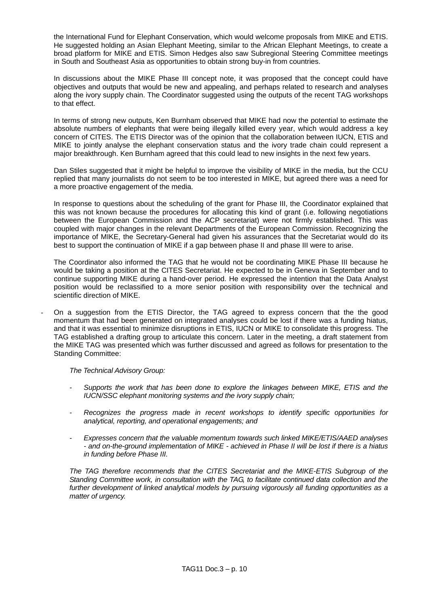the International Fund for Elephant Conservation, which would welcome proposals from MIKE and ETIS. He suggested holding an Asian Elephant Meeting, similar to the African Elephant Meetings, to create a broad platform for MIKE and ETIS. Simon Hedges also saw Subregional Steering Committee meetings in South and Southeast Asia as opportunities to obtain strong buy-in from countries.

In discussions about the MIKE Phase III concept note, it was proposed that the concept could have objectives and outputs that would be new and appealing, and perhaps related to research and analyses along the ivory supply chain. The Coordinator suggested using the outputs of the recent TAG workshops to that effect.

In terms of strong new outputs, Ken Burnham observed that MIKE had now the potential to estimate the absolute numbers of elephants that were being illegally killed every year, which would address a key concern of CITES. The ETIS Director was of the opinion that the collaboration between IUCN, ETIS and MIKE to jointly analyse the elephant conservation status and the ivory trade chain could represent a major breakthrough. Ken Burnham agreed that this could lead to new insights in the next few years.

Dan Stiles suggested that it might be helpful to improve the visibility of MIKE in the media, but the CCU replied that many journalists do not seem to be too interested in MIKE, but agreed there was a need for a more proactive engagement of the media.

In response to questions about the scheduling of the grant for Phase III, the Coordinator explained that this was not known because the procedures for allocating this kind of grant (i.e. following negotiations between the European Commission and the ACP secretariat) were not firmly established. This was coupled with major changes in the relevant Departments of the European Commission. Recognizing the importance of MIKE, the Secretary-General had given his assurances that the Secretariat would do its best to support the continuation of MIKE if a gap between phase II and phase III were to arise.

The Coordinator also informed the TAG that he would not be coordinating MIKE Phase III because he would be taking a position at the CITES Secretariat. He expected to be in Geneva in September and to continue supporting MIKE during a hand-over period. He expressed the intention that the Data Analyst position would be reclassified to a more senior position with responsibility over the technical and scientific direction of MIKE.

- On a suggestion from the ETIS Director, the TAG agreed to express concern that the the good momentum that had been generated on integrated analyses could be lost if there was a funding hiatus, and that it was essential to minimize disruptions in ETIS, IUCN or MIKE to consolidate this progress. The TAG established a drafting group to articulate this concern. Later in the meeting, a draft statement from the MIKE TAG was presented which was further discussed and agreed as follows for presentation to the Standing Committee:

*The Technical Advisory Group:*

- *- Supports the work that has been done to explore the linkages between MIKE, ETIS and the IUCN/SSC elephant monitoring systems and the ivory supply chain;*
- *- Recognizes the progress made in recent workshops to identify specific opportunities for analytical, reporting, and operational engagements; and*
- *- Expresses concern that the valuable momentum towards such linked MIKE/ETIS/AAED analyses - and on-the-ground implementation of MIKE - achieved in Phase II will be lost if there is a hiatus in funding before Phase III.*

*The TAG therefore recommends that the CITES Secretariat and the MIKE-ETIS Subgroup of the Standing Committee work, in consultation with the TAG, to facilitate continued data collection and the further development of linked analytical models by pursuing vigorously all funding opportunities as a matter of urgency.*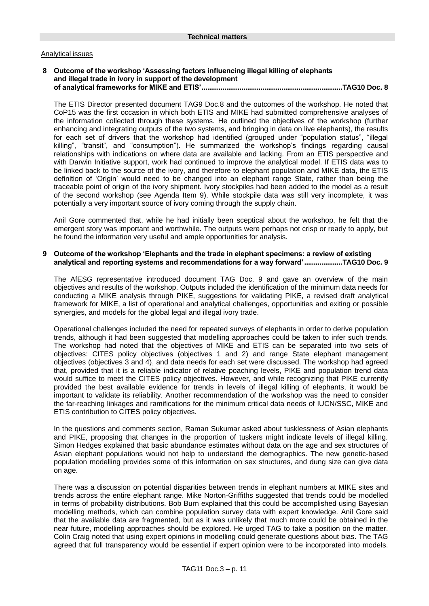## Analytical issues

### **8 Outcome of the workshop 'Assessing factors influencing illegal killing of elephants and illegal trade in ivory in support of the development of analytical frameworks for MIKE and ETIS'..........................................................................TAG10 Doc. 8**

The ETIS Director presented document TAG9 Doc.8 and the outcomes of the workshop. He noted that CoP15 was the first occasion in which both ETIS and MIKE had submitted comprehensive analyses of the information collected through these systems. He outlined the objectives of the workshop (further enhancing and integrating outputs of the two systems, and bringing in data on live elephants), the results for each set of drivers that the workshop had identified (grouped under "population status", "illegal killing", "transit", and "consumption"). He summarized the workshop's findings regarding causal relationships with indications on where data are available and lacking. From an ETIS perspective and with Darwin Initiative support, work had continued to improve the analytical model. If ETIS data was to be linked back to the source of the ivory, and therefore to elephant population and MIKE data, the ETIS definition of "Origin" would need to be changed into an elephant range State, rather than being the traceable point of origin of the ivory shipment. Ivory stockpiles had been added to the model as a result of the second workshop (see Agenda Item 9). While stockpile data was still very incomplete, it was potentially a very important source of ivory coming through the supply chain.

Anil Gore commented that, while he had initially been sceptical about the workshop, he felt that the emergent story was important and worthwhile. The outputs were perhaps not crisp or ready to apply, but he found the information very useful and ample opportunities for analysis.

## **9 Outcome of the workshop 'Elephants and the trade in elephant specimens: a review of existing analytical and reporting systems and recommendations for a way forward'....................TAG10 Doc. 9**

The AfESG representative introduced document TAG Doc. 9 and gave an overview of the main objectives and results of the workshop. Outputs included the identification of the minimum data needs for conducting a MIKE analysis through PIKE, suggestions for validating PIKE, a revised draft analytical framework for MIKE, a list of operational and analytical challenges, opportunities and exiting or possible synergies, and models for the global legal and illegal ivory trade.

Operational challenges included the need for repeated surveys of elephants in order to derive population trends, although it had been suggested that modelling approaches could be taken to infer such trends. The workshop had noted that the objectives of MIKE and ETIS can be separated into two sets of objectives: CITES policy objectives (objectives 1 and 2) and range State elephant management objectives (objectives 3 and 4), and data needs for each set were discussed. The workshop had agreed that, provided that it is a reliable indicator of relative poaching levels, PIKE and population trend data would suffice to meet the CITES policy objectives. However, and while recognizing that PIKE currently provided the best available evidence for trends in levels of illegal killing of elephants, it would be important to validate its reliability. Another recommendation of the workshop was the need to consider the far-reaching linkages and ramifications for the minimum critical data needs of IUCN/SSC, MIKE and ETIS contribution to CITES policy objectives.

In the questions and comments section, Raman Sukumar asked about tusklessness of Asian elephants and PIKE, proposing that changes in the proportion of tuskers might indicate levels of illegal killing. Simon Hedges explained that basic abundance estimates without data on the age and sex structures of Asian elephant populations would not help to understand the demographics. The new genetic-based population modelling provides some of this information on sex structures, and dung size can give data on age.

There was a discussion on potential disparities between trends in elephant numbers at MIKE sites and trends across the entire elephant range. Mike Norton-Griffiths suggested that trends could be modelled in terms of probability distributions. Bob Burn explained that this could be accomplished using Bayesian modelling methods, which can combine population survey data with expert knowledge. Anil Gore said that the available data are fragmented, but as it was unlikely that much more could be obtained in the near future, modelling approaches should be explored. He urged TAG to take a position on the matter. Colin Craig noted that using expert opinions in modelling could generate questions about bias. The TAG agreed that full transparency would be essential if expert opinion were to be incorporated into models.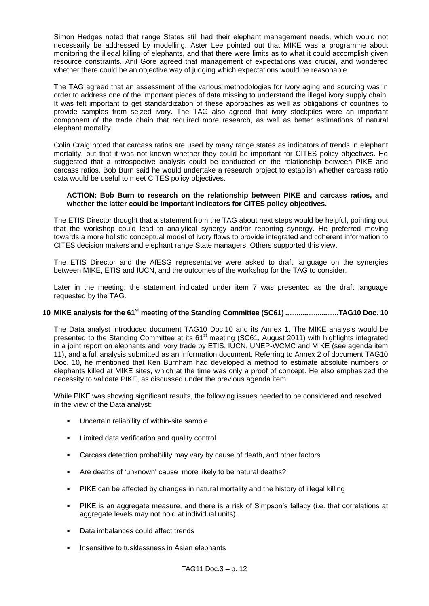Simon Hedges noted that range States still had their elephant management needs, which would not necessarily be addressed by modelling. Aster Lee pointed out that MIKE was a programme about monitoring the illegal killing of elephants, and that there were limits as to what it could accomplish given resource constraints. Anil Gore agreed that management of expectations was crucial, and wondered whether there could be an objective way of judging which expectations would be reasonable.

The TAG agreed that an assessment of the various methodologies for ivory aging and sourcing was in order to address one of the important pieces of data missing to understand the illegal ivory supply chain. It was felt important to get standardization of these approaches as well as obligations of countries to provide samples from seized ivory. The TAG also agreed that ivory stockpiles were an important component of the trade chain that required more research, as well as better estimations of natural elephant mortality.

Colin Craig noted that carcass ratios are used by many range states as indicators of trends in elephant mortality, but that it was not known whether they could be important for CITES policy objectives. He suggested that a retrospective analysis could be conducted on the relationship between PIKE and carcass ratios. Bob Burn said he would undertake a research project to establish whether carcass ratio data would be useful to meet CITES policy objectives.

## **ACTION: Bob Burn to research on the relationship between PIKE and carcass ratios, and whether the latter could be important indicators for CITES policy objectives.**

The ETIS Director thought that a statement from the TAG about next steps would be helpful, pointing out that the workshop could lead to analytical synergy and/or reporting synergy. He preferred moving towards a more holistic conceptual model of ivory flows to provide integrated and coherent information to CITES decision makers and elephant range State managers. Others supported this view.

The ETIS Director and the AfESG representative were asked to draft language on the synergies between MIKE, ETIS and IUCN, and the outcomes of the workshop for the TAG to consider.

Later in the meeting, the statement indicated under item 7 was presented as the draft language requested by the TAG.

# **10 MIKE analysis for the 61st meeting of the Standing Committee (SC61) ............................TAG10 Doc. 10**

The Data analyst introduced document TAG10 Doc.10 and its Annex 1. The MIKE analysis would be presented to the Standing Committee at its 61<sup>st</sup> meeting (SC61, August 2011) with highlights integrated in a joint report on elephants and ivory trade by ETIS, IUCN, UNEP-WCMC and MIKE (see agenda item 11), and a full analysis submitted as an information document. Referring to Annex 2 of document TAG10 Doc. 10, he mentioned that Ken Burnham had developed a method to estimate absolute numbers of elephants killed at MIKE sites, which at the time was only a proof of concept. He also emphasized the necessity to validate PIKE, as discussed under the previous agenda item.

While PIKE was showing significant results, the following issues needed to be considered and resolved in the view of the Data analyst:

- **Uncertain reliability of within-site sample**
- **EXECUTE:** Limited data verification and quality control
- Carcass detection probability may vary by cause of death, and other factors
- Are deaths of 'unknown' cause more likely to be natural deaths?
- PIKE can be affected by changes in natural mortality and the history of illegal killing
- PIKE is an aggregate measure, and there is a risk of Simpson's fallacy (i.e. that correlations at aggregate levels may not hold at individual units).
- Data imbalances could affect trends
- Insensitive to tusklessness in Asian elephants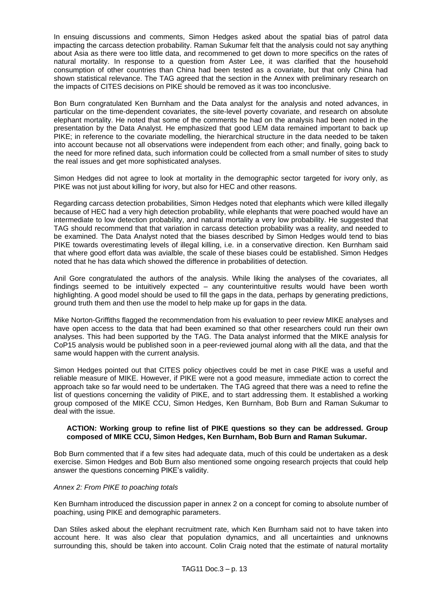In ensuing discussions and comments, Simon Hedges asked about the spatial bias of patrol data impacting the carcass detection probability. Raman Sukumar felt that the analysis could not say anything about Asia as there were too little data, and recommened to get down to more specifics on the rates of natural mortality. In response to a question from Aster Lee, it was clarified that the household consumption of other countries than China had been tested as a covariate, but that only China had shown statistical relevance. The TAG agreed that the section in the Annex with preliminary research on the impacts of CITES decisions on PIKE should be removed as it was too inconclusive.

Bon Burn congratulated Ken Burnham and the Data analyst for the analysis and noted advances, in particular on the time-dependent covariates, the site-level poverty covariate, and research on absolute elephant mortality. He noted that some of the comments he had on the analysis had been noted in the presentation by the Data Analyst. He emphasized that good LEM data remained important to back up PIKE; in reference to the covariate modelling, the hierarchical structure in the data needed to be taken into account because not all observations were independent from each other; and finally, going back to the need for more refined data, such information could be collected from a small number of sites to study the real issues and get more sophisticated analyses.

Simon Hedges did not agree to look at mortality in the demographic sector targeted for ivory only, as PIKE was not just about killing for ivory, but also for HEC and other reasons.

Regarding carcass detection probabilities, Simon Hedges noted that elephants which were killed illegally because of HEC had a very high detection probability, while elephants that were poached would have an intermediate to low detection probability, and natural mortality a very low probability. He suggested that TAG should recommend that that variation in carcass detection probability was a reality, and needed to be examined. The Data Analyst noted that the biases described by Simon Hedges would tend to bias PIKE towards overestimating levels of illegal killing, i.e. in a conservative direction. Ken Burnham said that where good effort data was avialble, the scale of these biases could be established. Simon Hedges noted that he has data which showed the difference in probabilities of detection.

Anil Gore congratulated the authors of the analysis. While liking the analyses of the covariates, all findings seemed to be intuitively expected – any counterintuitive results would have been worth highlighting. A good model should be used to fill the gaps in the data, perhaps by generating predictions, ground truth them and then use the model to help make up for gaps in the data.

Mike Norton-Griffiths flagged the recommendation from his evaluation to peer review MIKE analyses and have open access to the data that had been examined so that other researchers could run their own analyses. This had been supported by the TAG. The Data analyst informed that the MIKE analysis for CoP15 analysis would be published soon in a peer-reviewed journal along with all the data, and that the same would happen with the current analysis.

Simon Hedges pointed out that CITES policy objectives could be met in case PIKE was a useful and reliable measure of MIKE. However, if PIKE were not a good measure, immediate action to correct the approach take so far would need to be undertaken. The TAG agreed that there was a need to refine the list of questions concerning the validity of PIKE, and to start addressing them. It established a working group composed of the MIKE CCU, Simon Hedges, Ken Burnham, Bob Burn and Raman Sukumar to deal with the issue.

## **ACTION: Working group to refine list of PIKE questions so they can be addressed. Group composed of MIKE CCU, Simon Hedges, Ken Burnham, Bob Burn and Raman Sukumar.**

Bob Burn commented that if a few sites had adequate data, much of this could be undertaken as a desk exercise. Simon Hedges and Bob Burn also mentioned some ongoing research projects that could help answer the questions concerning PIKE"s validity.

### *Annex 2: From PIKE to poaching totals*

Ken Burnham introduced the discussion paper in annex 2 on a concept for coming to absolute number of poaching, using PIKE and demographic parameters.

Dan Stiles asked about the elephant recruitment rate, which Ken Burnham said not to have taken into account here. It was also clear that population dynamics, and all uncertainties and unknowns surrounding this, should be taken into account. Colin Craig noted that the estimate of natural mortality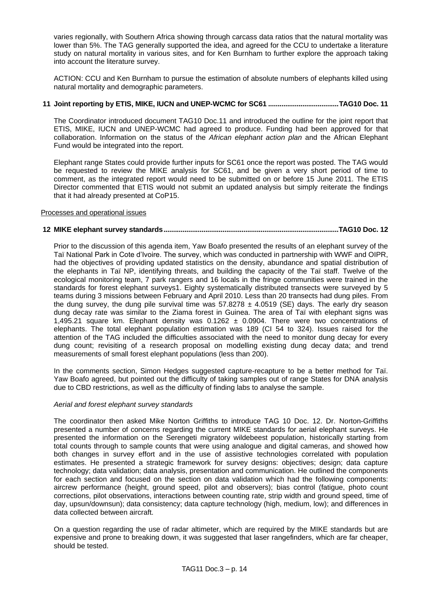varies regionally, with Southern Africa showing through carcass data ratios that the natural mortality was lower than 5%. The TAG generally supported the idea, and agreed for the CCU to undertake a literature study on natural mortality in various sites, and for Ken Burnham to further explore the approach taking into account the literature survey.

ACTION: CCU and Ken Burnham to pursue the estimation of absolute numbers of elephants killed using natural mortality and demographic parameters.

# **11 Joint reporting by ETIS, MIKE, IUCN and UNEP-WCMC for SC61 .....................................TAG10 Doc. 11**

The Coordinator introduced document TAG10 Doc.11 and introduced the outline for the joint report that ETIS, MIKE, IUCN and UNEP-WCMC had agreed to produce. Funding had been approved for that collaboration. Information on the status of the *African elephant action plan* and the African Elephant Fund would be integrated into the report.

Elephant range States could provide further inputs for SC61 once the report was posted. The TAG would be requested to review the MIKE analysis for SC61, and be given a very short period of time to comment, as the integrated report would need to be submitted on or before 15 June 2011. The ETIS Director commented that ETIS would not submit an updated analysis but simply reiterate the findings that it had already presented at CoP15.

# Processes and operational issues

# **12 MIKE elephant survey standards............................................................................................TAG10 Doc. 12**

Prior to the discussion of this agenda item, Yaw Boafo presented the results of an elephant survey of the Taï National Park in Cote d"Ivoire. The survey, which was conducted in partnership with WWF and OIPR, had the objectives of providing updated statistics on the density, abundance and spatial distribution of the elephants in Taï NP, identifying threats, and building the capacity of the Taï staff. Twelve of the ecological monitoring team, 7 park rangers and 16 locals in the fringe communities were trained in the standards for forest elephant surveys1. Eighty systematically distributed transects were surveyed by 5 teams during 3 missions between February and April 2010. Less than 20 transects had dung piles. From the dung survey, the dung pile survival time was  $57.8278 \pm 4.0519$  (SE) days. The early dry season dung decay rate was similar to the Ziama forest in Guinea. The area of Taï with elephant signs was 1,495.21 square km. Elephant density was  $0.1262 \pm 0.0904$ . There were two concentrations of elephants. The total elephant population estimation was 189 (CI 54 to 324). Issues raised for the attention of the TAG included the difficulties associated with the need to monitor dung decay for every dung count; revisiting of a research proposal on modelling existing dung decay data; and trend measurements of small forest elephant populations (less than 200).

In the comments section, Simon Hedges suggested capture-recapture to be a better method for Taï. Yaw Boafo agreed, but pointed out the difficulty of taking samples out of range States for DNA analysis due to CBD restrictions, as well as the difficulty of finding labs to analyse the sample.

### *Aerial and forest elephant survey standards*

The coordinator then asked Mike Norton Griffiths to introduce TAG 10 Doc. 12. Dr. Norton-Griffiths presented a number of concerns regarding the current MIKE standards for aerial elephant surveys. He presented the information on the Serengeti migratory wildebeest population, historically starting from total counts through to sample counts that were using analogue and digital cameras, and showed how both changes in survey effort and in the use of assistive technologies correlated with population estimates. He presented a strategic framework for survey designs: objectives; design; data capture technology; data validation; data analysis, presentation and communication. He outlined the components for each section and focused on the section on data validation which had the following components: aircrew performance (height, ground speed, pilot and observers); bias control (fatigue, photo count corrections, pilot observations, interactions between counting rate, strip width and ground speed, time of day, upsun/downsun); data consistency; data capture technology (high, medium, low); and differences in data collected between aircraft.

On a question regarding the use of radar altimeter, which are required by the MIKE standards but are expensive and prone to breaking down, it was suggested that laser rangefinders, which are far cheaper, should be tested.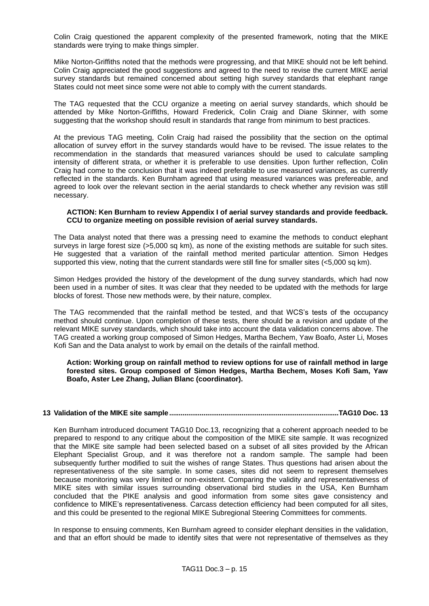Colin Craig questioned the apparent complexity of the presented framework, noting that the MIKE standards were trying to make things simpler.

Mike Norton-Griffiths noted that the methods were progressing, and that MIKE should not be left behind. Colin Craig appreciated the good suggestions and agreed to the need to revise the current MIKE aerial survey standards but remained concerned about setting high survey standards that elephant range States could not meet since some were not able to comply with the current standards.

The TAG requested that the CCU organize a meeting on aerial survey standards, which should be attended by Mike Norton-Griffiths, Howard Frederick, Colin Craig and Diane Skinner, with some suggesting that the workshop should result in standards that range from minimum to best practices.

At the previous TAG meeting, Colin Craig had raised the possibility that the section on the optimal allocation of survey effort in the survey standards would have to be revised. The issue relates to the recommendation in the standards that measured variances should be used to calculate sampling intensity of different strata, or whether it is preferable to use densities. Upon further reflection, Colin Craig had come to the conclusion that it was indeed preferable to use measured variances, as currently reflected in the standards. Ken Burnham agreed that using measured variances was prefereable, and agreed to look over the relevant section in the aerial standards to check whether any revision was still necessary.

### **ACTION: Ken Burnham to review Appendix I of aerial survey standards and provide feedback. CCU to organize meeting on possible revision of aerial survey standards.**

The Data analyst noted that there was a pressing need to examine the methods to conduct elephant surveys in large forest size (>5,000 sq km), as none of the existing methods are suitable for such sites. He suggested that a variation of the rainfall method merited particular attention. Simon Hedges supported this view, noting that the current standards were still fine for smaller sites (<5,000 sq km).

Simon Hedges provided the history of the development of the dung survey standards, which had now been used in a number of sites. It was clear that they needed to be updated with the methods for large blocks of forest. Those new methods were, by their nature, complex.

The TAG recommended that the rainfall method be tested, and that WCS"s tests of the occupancy method should continue. Upon completion of these tests, there should be a revision and update of the relevant MIKE survey standards, which should take into account the data validation concerns above. The TAG created a working group composed of Simon Hedges, Martha Bechem, Yaw Boafo, Aster Li, Moses Kofi San and the Data analyst to work by email on the details of the rainfall method.

**Action: Working group on rainfall method to review options for use of rainfall method in large forested sites. Group composed of Simon Hedges, Martha Bechem, Moses Kofi Sam, Yaw Boafo, Aster Lee Zhang, Julian Blanc (coordinator).**

# **13 Validation of the MIKE site sample.........................................................................................TAG10 Doc. 13**

Ken Burnham introduced document TAG10 Doc.13, recognizing that a coherent approach needed to be prepared to respond to any critique about the composition of the MIKE site sample. It was recognized that the MIKE site sample had been selected based on a subset of all sites provided by the African Elephant Specialist Group, and it was therefore not a random sample. The sample had been subsequently further modified to suit the wishes of range States. Thus questions had arisen about the representativeness of the site sample. In some cases, sites did not seem to represent themselves because monitoring was very limited or non-existent. Comparing the validity and representativeness of MIKE sites with similar issues surrounding observational bird studies in the USA, Ken Burnham concluded that the PIKE analysis and good information from some sites gave consistency and confidence to MIKE's representativeness. Carcass detection efficiency had been computed for all sites, and this could be presented to the regional MIKE Subregional Steering Committees for comments.

In response to ensuing comments, Ken Burnham agreed to consider elephant densities in the validation, and that an effort should be made to identify sites that were not representative of themselves as they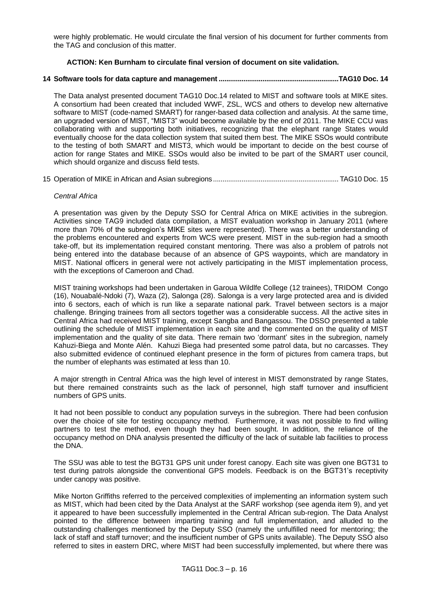were highly problematic. He would circulate the final version of his document for further comments from the TAG and conclusion of this matter.

# **ACTION: Ken Burnham to circulate final version of document on site validation.**

# **14 Software tools for data capture and management ...............................................................TAG10 Doc. 14**

The Data analyst presented document TAG10 Doc.14 related to MIST and software tools at MIKE sites. A consortium had been created that included WWF, ZSL, WCS and others to develop new alternative software to MIST (code-named SMART) for ranger-based data collection and analysis. At the same time, an upgraded version of MIST, "MIST3" would become available by the end of 2011. The MIKE CCU was collaborating with and supporting both initiatives, recognizing that the elephant range States would eventually choose for the data collection system that suited them best. The MIKE SSOs would contribute to the testing of both SMART and MIST3, which would be important to decide on the best course of action for range States and MIKE. SSOs would also be invited to be part of the SMART user council, which should organize and discuss field tests.

15 Operation of MIKE in African and Asian subregions.................................................................. TAG10 Doc. 15

### *Central Africa*

A presentation was given by the Deputy SSO for Central Africa on MIKE activities in the subregion. Activities since TAG9 included data compilation, a MIST evaluation workshop in January 2011 (where more than 70% of the subregion"s MIKE sites were represented). There was a better understanding of the problems encountered and experts from WCS were present. MIST in the sub-region had a smooth take-off, but its implementation required constant mentoring. There was also a problem of patrols not being entered into the database because of an absence of GPS waypoints, which are mandatory in MIST. National officers in general were not actively participating in the MIST implementation process, with the exceptions of Cameroon and Chad.

MIST training workshops had been undertaken in Garoua Wildlfe College (12 trainees), TRIDOM Congo (16), Nouabalé-Ndoki (7), Waza (2), Salonga (28). Salonga is a very large protected area and is divided into 6 sectors, each of which is run like a separate national park. Travel between sectors is a major challenge. Bringing trainees from all sectors together was a considerable success. All the active sites in Central Africa had received MIST training, except Sangba and Bangassou. The DSSO presented a table outlining the schedule of MIST implementation in each site and the commented on the quality of MIST implementation and the quality of site data. There remain two "dormant" sites in the subregion, namely Kahuzi-Biega and Monte Alén. Kahuzi Biega had presented some patrol data, but no carcasses. They also submitted evidence of continued elephant presence in the form of pictures from camera traps, but the number of elephants was estimated at less than 10.

A major strength in Central Africa was the high level of interest in MIST demonstrated by range States, but there remained constraints such as the lack of personnel, high staff turnover and insufficient numbers of GPS units.

It had not been possible to conduct any population surveys in the subregion. There had been confusion over the choice of site for testing occupancy method. Furthermore, it was not possible to find willing partners to test the method, even though they had been sought. In addition, the reliance of the occupancy method on DNA analysis presented the difficulty of the lack of suitable lab facilities to process the DNA.

The SSU was able to test the BGT31 GPS unit under forest canopy. Each site was given one BGT31 to test during patrols alongside the conventional GPS models. Feedback is on the BGT31"s receptivity under canopy was positive.

Mike Norton Griffiths referred to the perceived complexities of implementing an information system such as MIST, which had been cited by the Data Analyst at the SARF workshop (see agenda item 9), and yet it appeared to have been successfully implemented in the Central African sub-region. The Data Analyst pointed to the difference between imparting training and full implementation, and alluded to the outstanding challenges mentioned by the Deputy SSO (namely the unfulfilled need for mentoring; the lack of staff and staff turnover; and the insufficient number of GPS units available). The Deputy SSO also referred to sites in eastern DRC, where MIST had been successfully implemented, but where there was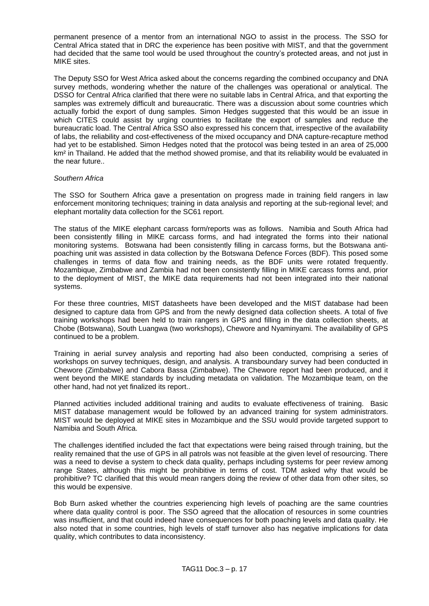permanent presence of a mentor from an international NGO to assist in the process. The SSO for Central Africa stated that in DRC the experience has been positive with MIST, and that the government had decided that the same tool would be used throughout the country"s protected areas, and not just in MIKE sites.

The Deputy SSO for West Africa asked about the concerns regarding the combined occupancy and DNA survey methods, wondering whether the nature of the challenges was operational or analytical. The DSSO for Central Africa clarified that there were no suitable labs in Central Africa, and that exporting the samples was extremely difficult and bureaucratic. There was a discussion about some countries which actually forbid the export of dung samples. Simon Hedges suggested that this would be an issue in which CITES could assist by urging countries to facilitate the export of samples and reduce the bureaucratic load. The Central Africa SSO also expressed his concern that, irrespective of the availability of labs, the reliability and cost-effectiveness of the mixed occupancy and DNA capture-recapture method had yet to be established. Simon Hedges noted that the protocol was being tested in an area of 25,000 km² in Thailand. He added that the method showed promise, and that its reliability would be evaluated in the near future..

### *Southern Africa*

The SSO for Southern Africa gave a presentation on progress made in training field rangers in law enforcement monitoring techniques; training in data analysis and reporting at the sub-regional level; and elephant mortality data collection for the SC61 report.

The status of the MIKE elephant carcass form/reports was as follows. Namibia and South Africa had been consistently filling in MIKE carcass forms, and had integrated the forms into their national monitoring systems. Botswana had been consistently filling in carcass forms, but the Botswana antipoaching unit was assisted in data collection by the Botswana Defence Forces (BDF). This posed some challenges in terms of data flow and training needs, as the BDF units were rotated frequently. Mozambique, Zimbabwe and Zambia had not been consistently filling in MIKE carcass forms and, prior to the deployment of MIST, the MIKE data requirements had not been integrated into their national systems.

For these three countries, MIST datasheets have been developed and the MIST database had been designed to capture data from GPS and from the newly designed data collection sheets. A total of five training workshops had been held to train rangers in GPS and filling in the data collection sheets, at Chobe (Botswana), South Luangwa (two workshops), Chewore and Nyaminyami. The availability of GPS continued to be a problem.

Training in aerial survey analysis and reporting had also been conducted, comprising a series of workshops on survey techniques, design, and analysis. A transboundary survey had been conducted in Chewore (Zimbabwe) and Cabora Bassa (Zimbabwe). The Chewore report had been produced, and it went beyond the MIKE standards by including metadata on validation. The Mozambique team, on the other hand, had not yet finalized its report..

Planned activities included additional training and audits to evaluate effectiveness of training. Basic MIST database management would be followed by an advanced training for system administrators. MIST would be deployed at MIKE sites in Mozambique and the SSU would provide targeted support to Namibia and South Africa.

The challenges identified included the fact that expectations were being raised through training, but the reality remained that the use of GPS in all patrols was not feasible at the given level of resourcing. There was a need to devise a system to check data quality, perhaps including systems for peer review among range States, although this might be prohibitive in terms of cost. TDM asked why that would be prohibitive? TC clarified that this would mean rangers doing the review of other data from other sites, so this would be expensive.

Bob Burn asked whether the countries experiencing high levels of poaching are the same countries where data quality control is poor. The SSO agreed that the allocation of resources in some countries was insufficient, and that could indeed have consequences for both poaching levels and data quality. He also noted that in some countries, high levels of staff turnover also has negative implications for data quality, which contributes to data inconsistency.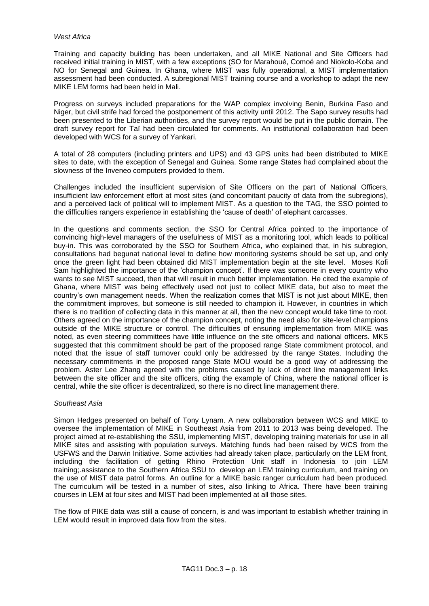# *West Africa*

Training and capacity building has been undertaken, and all MIKE National and Site Officers had received initial training in MIST, with a few exceptions (SO for Marahoué, Comoé and Niokolo-Koba and NO for Senegal and Guinea. In Ghana, where MIST was fully operational, a MIST implementation assessment had been conducted. A subregional MIST training course and a workshop to adapt the new MIKE LEM forms had been held in Mali.

Progress on surveys included preparations for the WAP complex involving Benin, Burkina Faso and Niger, but civil strife had forced the postponement of this activity until 2012. The Sapo survey results had been presented to the Liberian authorities, and the survey report would be put in the public domain. The draft survey report for Taï had been circulated for comments. An institutional collaboration had been developed with WCS for a survey of Yankari.

A total of 28 computers (including printers and UPS) and 43 GPS units had been distributed to MIKE sites to date, with the exception of Senegal and Guinea. Some range States had complained about the slowness of the Inveneo computers provided to them.

Challenges included the insufficient supervision of Site Officers on the part of National Officers, insufficient law enforcement effort at most sites (and concomitant paucity of data from the subregions), and a perceived lack of political will to implement MIST. As a question to the TAG, the SSO pointed to the difficulties rangers experience in establishing the "cause of death" of elephant carcasses.

In the questions and comments section, the SSO for Central Africa pointed to the importance of convincing high-level managers of the usefulness of MIST as a monitoring tool, which leads to political buy-in. This was corroborated by the SSO for Southern Africa, who explained that, in his subregion, consultations had begunat national level to define how monitoring systems should be set up, and only once the green light had been obtained did MIST implementation begin at the site level. Moses Kofi Sam highlighted the importance of the "champion concept". If there was someone in every country who wants to see MIST succeed, then that will result in much better implementation. He cited the example of Ghana, where MIST was being effectively used not just to collect MIKE data, but also to meet the country"s own management needs. When the realization comes that MIST is not just about MIKE, then the commitment improves, but someone is still needed to champion it. However, in countries in which there is no tradition of collecting data in this manner at all, then the new concept would take time to root. Others agreed on the importance of the champion concept, noting the need also for site-level champions outside of the MIKE structure or control. The difficulties of ensuring implementation from MIKE was noted, as even steering committees have little influence on the site officers and national officers. MKS suggested that this commitment should be part of the proposed range State commitment protocol, and noted that the issue of staff turnover could only be addressed by the range States. Including the necessary commitments in the proposed range State MOU would be a good way of addressing the problem. Aster Lee Zhang agreed with the problems caused by lack of direct line management links between the site officer and the site officers, citing the example of China, where the national officer is central, while the site officer is decentralized, so there is no direct line management there.

### *Southeast Asia*

Simon Hedges presented on behalf of Tony Lynam. A new collaboration between WCS and MIKE to oversee the implementation of MIKE in Southeast Asia from 2011 to 2013 was being developed. The project aimed at re-establishing the SSU, implementing MIST, developing training materials for use in all MIKE sites and assisting with population surveys. Matching funds had been raised by WCS from the USFWS and the Darwin Initiative. Some activities had already taken place, particularly on the LEM front, including the facilitation of getting Rhino Protection Unit staff in Indonesia to join LEM training;.assistance to the Southern Africa SSU to develop an LEM training curriculum, and training on the use of MIST data patrol forms. An outline for a MIKE basic ranger curriculum had been produced. The curriculum will be tested in a number of sites, also linking to Africa. There have been training courses in LEM at four sites and MIST had been implemented at all those sites.

The flow of PIKE data was still a cause of concern, is and was important to establish whether training in LEM would result in improved data flow from the sites.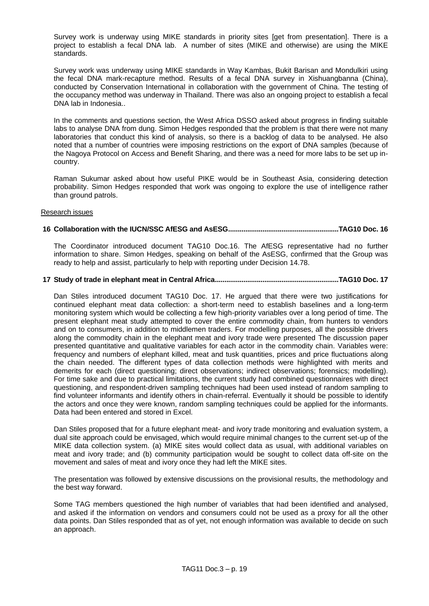Survey work is underway using MIKE standards in priority sites [get from presentation]. There is a project to establish a fecal DNA lab. A number of sites (MIKE and otherwise) are using the MIKE standards.

Survey work was underway using MIKE standards in Way Kambas, Bukit Barisan and Mondulkiri using the fecal DNA mark-recapture method. Results of a fecal DNA survey in Xishuangbanna (China), conducted by Conservation International in collaboration with the government of China. The testing of the occupancy method was underway in Thailand. There was also an ongoing project to establish a fecal DNA lab in Indonesia..

In the comments and questions section, the West Africa DSSO asked about progress in finding suitable labs to analyse DNA from dung. Simon Hedges responded that the problem is that there were not many laboratories that conduct this kind of analysis, so there is a backlog of data to be analysed. He also noted that a number of countries were imposing restrictions on the export of DNA samples (because of the Nagoya Protocol on Access and Benefit Sharing, and there was a need for more labs to be set up incountry.

Raman Sukumar asked about how useful PIKE would be in Southeast Asia, considering detection probability. Simon Hedges responded that work was ongoing to explore the use of intelligence rather than ground patrols.

### Research issues

# **16 Collaboration with the IUCN/SSC AfESG and AsESG..........................................................TAG10 Doc. 16**

The Coordinator introduced document TAG10 Doc.16. The AfESG representative had no further information to share. Simon Hedges, speaking on behalf of the AsESG, confirmed that the Group was ready to help and assist, particularly to help with reporting under Decision 14.78.

# **17 Study of trade in elephant meat in Central Africa.................................................................TAG10 Doc. 17**

Dan Stiles introduced document TAG10 Doc. 17. He argued that there were two justifications for continued elephant meat data collection: a short-term need to establish baselines and a long-term monitoring system which would be collecting a few high-priority variables over a long period of time. The present elephant meat study attempted to cover the entire commodity chain, from hunters to vendors and on to consumers, in addition to middlemen traders. For modelling purposes, all the possible drivers along the commodity chain in the elephant meat and ivory trade were presented The discussion paper presented quantitative and qualitative variables for each actor in the commodity chain. Variables were: frequency and numbers of elephant killed, meat and tusk quantities, prices and price fluctuations along the chain needed. The different types of data collection methods were highlighted with merits and demerits for each (direct questioning; direct observations; indirect observations; forensics; modelling). For time sake and due to practical limitations, the current study had combined questionnaires with direct questioning, and respondent-driven sampling techniques had been used instead of random sampling to find volunteer informants and identify others in chain-referral. Eventually it should be possible to identify the actors and once they were known, random sampling techniques could be applied for the informants. Data had been entered and stored in Excel.

Dan Stiles proposed that for a future elephant meat- and ivory trade monitoring and evaluation system, a dual site approach could be envisaged, which would require minimal changes to the current set-up of the MIKE data collection system. (a) MIKE sites would collect data as usual, with additional variables on meat and ivory trade; and (b) community participation would be sought to collect data off-site on the movement and sales of meat and ivory once they had left the MIKE sites.

The presentation was followed by extensive discussions on the provisional results, the methodology and the best way forward.

Some TAG members questioned the high number of variables that had been identified and analysed, and asked if the information on vendors and consumers could not be used as a proxy for all the other data points. Dan Stiles responded that as of yet, not enough information was available to decide on such an approach.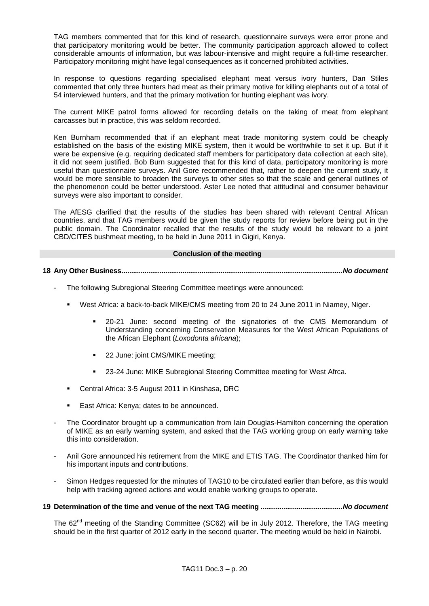TAG members commented that for this kind of research, questionnaire surveys were error prone and that participatory monitoring would be better. The community participation approach allowed to collect considerable amounts of information, but was labour-intensive and might require a full-time researcher. Participatory monitoring might have legal consequences as it concerned prohibited activities.

In response to questions regarding specialised elephant meat versus ivory hunters, Dan Stiles commented that only three hunters had meat as their primary motive for killing elephants out of a total of 54 interviewed hunters, and that the primary motivation for hunting elephant was ivory.

The current MIKE patrol forms allowed for recording details on the taking of meat from elephant carcasses but in practice, this was seldom recorded.

Ken Burnham recommended that if an elephant meat trade monitoring system could be cheaply established on the basis of the existing MIKE system, then it would be worthwhile to set it up. But if it were be expensive (e.g. requiring dedicated staff members for participatory data collection at each site), it did not seem justified. Bob Burn suggested that for this kind of data, participatory monitoring is more useful than questionnaire surveys. Anil Gore recommended that, rather to deepen the current study, it would be more sensible to broaden the surveys to other sites so that the scale and general outlines of the phenomenon could be better understood. Aster Lee noted that attitudinal and consumer behaviour surveys were also important to consider.

The AfESG clarified that the results of the studies has been shared with relevant Central African countries, and that TAG members would be given the study reports for review before being put in the public domain. The Coordinator recalled that the results of the study would be relevant to a joint CBD/CITES bushmeat meeting, to be held in June 2011 in Gigiri, Kenya.

#### **Conclusion of the meeting**

**18 Any Other Business....................................................................................................................***No document*

- The following Subregional Steering Committee meetings were announced:
	- West Africa: a back-to-back MIKE/CMS meeting from 20 to 24 June 2011 in Niamey, Niger.
		- 20-21 June: second meeting of the signatories of the CMS Memorandum of Understanding concerning Conservation Measures for the West African Populations of the African Elephant (*Loxodonta africana*);
		- 22 June: joint CMS/MIKE meeting;
		- 23-24 June: MIKE Subregional Steering Committee meeting for West Afrca.
	- Central Africa: 3-5 August 2011 in Kinshasa, DRC
	- **East Africa: Kenya; dates to be announced.**
- The Coordinator brought up a communication from Iain Douglas-Hamilton concerning the operation of MIKE as an early warning system, and asked that the TAG working group on early warning take this into consideration.
- Anil Gore announced his retirement from the MIKE and ETIS TAG. The Coordinator thanked him for his important inputs and contributions.
- Simon Hedges requested for the minutes of TAG10 to be circulated earlier than before, as this would help with tracking agreed actions and would enable working groups to operate.
- **19 Determination of the time and venue of the next TAG meeting ...........................................***No document*

The 62<sup>nd</sup> meeting of the Standing Committee (SC62) will be in July 2012. Therefore, the TAG meeting should be in the first quarter of 2012 early in the second quarter. The meeting would be held in Nairobi.